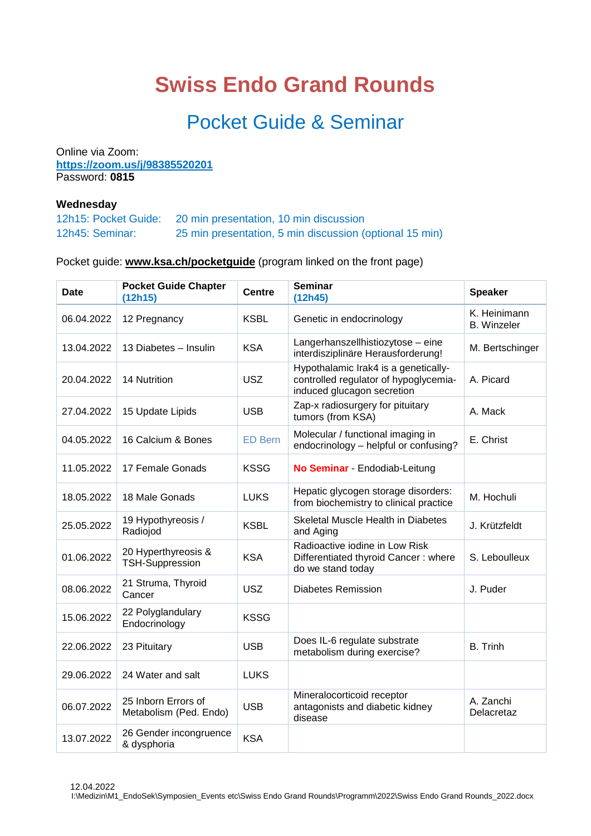## **Swiss Endo Grand Rounds**

## Pocket Guide & Seminar

Online via Zoom: **<https://zoom.us/j/98385520201>** Password: **0815**

## **Wednesday**

| 12h15: Pocket Guide: | 20 min presentation, 10 min discussion                  |
|----------------------|---------------------------------------------------------|
| 12h45: Seminar:      | 25 min presentation, 5 min discussion (optional 15 min) |

## Pocket guide: **[www.ksa.ch/pocketguide](http://www.ksa.ch/pocketguide)** (program linked on the front page)

| Date       | <b>Pocket Guide Chapter</b><br>(12h15)        | <b>Centre</b>  | <b>Seminar</b><br>(12h45)                                                                                   | <b>Speaker</b>                     |
|------------|-----------------------------------------------|----------------|-------------------------------------------------------------------------------------------------------------|------------------------------------|
| 06.04.2022 | 12 Pregnancy                                  | <b>KSBL</b>    | Genetic in endocrinology                                                                                    | K. Heinimann<br><b>B.</b> Winzeler |
| 13.04.2022 | 13 Diabetes - Insulin                         | <b>KSA</b>     | Langerhanszellhistiozytose – eine<br>interdisziplinäre Herausforderung!                                     | M. Bertschinger                    |
| 20.04.2022 | 14 Nutrition                                  | <b>USZ</b>     | Hypothalamic Irak4 is a genetically-<br>controlled regulator of hypoglycemia-<br>induced glucagon secretion | A. Picard                          |
| 27.04.2022 | 15 Update Lipids                              | <b>USB</b>     | Zap-x radiosurgery for pituitary<br>tumors (from KSA)                                                       | A. Mack                            |
| 04.05.2022 | 16 Calcium & Bones                            | <b>ED Bern</b> | Molecular / functional imaging in<br>endocrinology - helpful or confusing?                                  | E. Christ                          |
| 11.05.2022 | 17 Female Gonads                              | <b>KSSG</b>    | No Seminar - Endodiab-Leitung                                                                               |                                    |
| 18.05.2022 | 18 Male Gonads                                | <b>LUKS</b>    | Hepatic glycogen storage disorders:<br>from biochemistry to clinical practice                               | M. Hochuli                         |
| 25.05.2022 | 19 Hypothyreosis /<br>Radiojod                | <b>KSBL</b>    | Skeletal Muscle Health in Diabetes<br>and Aging                                                             | J. Krützfeldt                      |
| 01.06.2022 | 20 Hyperthyreosis &<br><b>TSH-Suppression</b> | <b>KSA</b>     | Radioactive iodine in Low Risk<br>Differentiated thyroid Cancer: where<br>do we stand today                 | S. Leboulleux                      |
| 08.06.2022 | 21 Struma, Thyroid<br>Cancer                  | <b>USZ</b>     | <b>Diabetes Remission</b>                                                                                   | J. Puder                           |
| 15.06.2022 | 22 Polyglandulary<br>Endocrinology            | <b>KSSG</b>    |                                                                                                             |                                    |
| 22.06.2022 | 23 Pituitary                                  | <b>USB</b>     | Does IL-6 regulate substrate<br>metabolism during exercise?                                                 | <b>B.</b> Trinh                    |
| 29.06.2022 | 24 Water and salt                             | <b>LUKS</b>    |                                                                                                             |                                    |
| 06.07.2022 | 25 Inborn Errors of<br>Metabolism (Ped. Endo) | <b>USB</b>     | Mineralocorticoid receptor<br>antagonists and diabetic kidney<br>disease                                    | A. Zanchi<br>Delacretaz            |
| 13.07.2022 | 26 Gender incongruence<br>& dysphoria         | <b>KSA</b>     |                                                                                                             |                                    |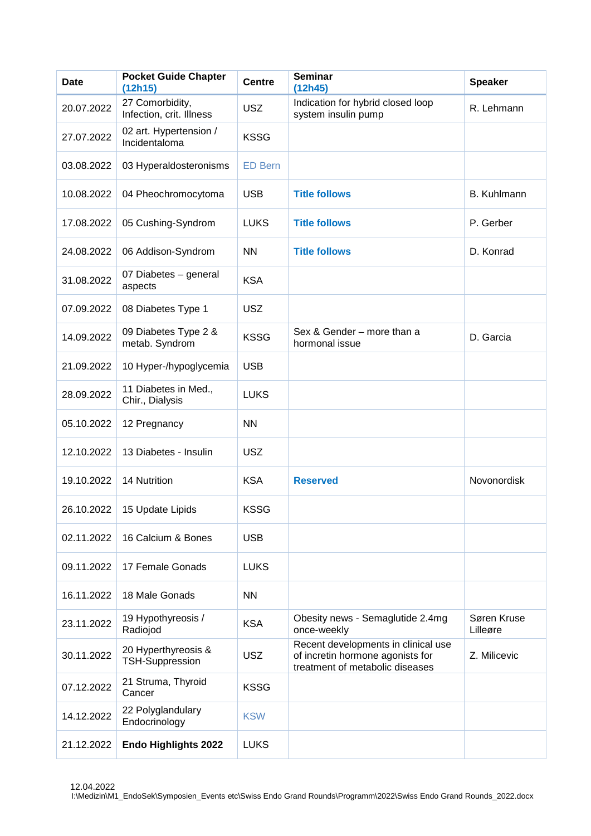| <b>Date</b> | <b>Pocket Guide Chapter</b><br>(12h15)        | <b>Centre</b>  | <b>Seminar</b><br>(12h45)                                                                                  | <b>Speaker</b>          |
|-------------|-----------------------------------------------|----------------|------------------------------------------------------------------------------------------------------------|-------------------------|
| 20.07.2022  | 27 Comorbidity,<br>Infection, crit. Illness   | <b>USZ</b>     | Indication for hybrid closed loop<br>system insulin pump                                                   | R. Lehmann              |
| 27.07.2022  | 02 art. Hypertension /<br>Incidentaloma       | <b>KSSG</b>    |                                                                                                            |                         |
| 03.08.2022  | 03 Hyperaldosteronisms                        | <b>ED Bern</b> |                                                                                                            |                         |
| 10.08.2022  | 04 Pheochromocytoma                           | <b>USB</b>     | <b>Title follows</b>                                                                                       | B. Kuhlmann             |
| 17.08.2022  | 05 Cushing-Syndrom                            | <b>LUKS</b>    | <b>Title follows</b>                                                                                       | P. Gerber               |
| 24.08.2022  | 06 Addison-Syndrom                            | <b>NN</b>      | <b>Title follows</b>                                                                                       | D. Konrad               |
| 31.08.2022  | 07 Diabetes - general<br>aspects              | <b>KSA</b>     |                                                                                                            |                         |
| 07.09.2022  | 08 Diabetes Type 1                            | <b>USZ</b>     |                                                                                                            |                         |
| 14.09.2022  | 09 Diabetes Type 2 &<br>metab. Syndrom        | <b>KSSG</b>    | Sex & Gender - more than a<br>hormonal issue                                                               | D. Garcia               |
| 21.09.2022  | 10 Hyper-/hypoglycemia                        | <b>USB</b>     |                                                                                                            |                         |
| 28.09.2022  | 11 Diabetes in Med.,<br>Chir., Dialysis       | <b>LUKS</b>    |                                                                                                            |                         |
| 05.10.2022  | 12 Pregnancy                                  | <b>NN</b>      |                                                                                                            |                         |
| 12.10.2022  | 13 Diabetes - Insulin                         | <b>USZ</b>     |                                                                                                            |                         |
| 19.10.2022  | <b>14 Nutrition</b>                           | <b>KSA</b>     | <b>Reserved</b>                                                                                            | Novonordisk             |
| 26.10.2022  | 15 Update Lipids                              | <b>KSSG</b>    |                                                                                                            |                         |
| 02.11.2022  | 16 Calcium & Bones                            | <b>USB</b>     |                                                                                                            |                         |
| 09.11.2022  | 17 Female Gonads                              | <b>LUKS</b>    |                                                                                                            |                         |
| 16.11.2022  | 18 Male Gonads                                | <b>NN</b>      |                                                                                                            |                         |
| 23.11.2022  | 19 Hypothyreosis /<br>Radiojod                | <b>KSA</b>     | Obesity news - Semaglutide 2.4mg<br>once-weekly                                                            | Søren Kruse<br>Lilleøre |
| 30.11.2022  | 20 Hyperthyreosis &<br><b>TSH-Suppression</b> | <b>USZ</b>     | Recent developments in clinical use<br>of incretin hormone agonists for<br>treatment of metabolic diseases | Z. Milicevic            |
| 07.12.2022  | 21 Struma, Thyroid<br>Cancer                  | <b>KSSG</b>    |                                                                                                            |                         |
| 14.12.2022  | 22 Polyglandulary<br>Endocrinology            | <b>KSW</b>     |                                                                                                            |                         |
| 21.12.2022  | <b>Endo Highlights 2022</b>                   | <b>LUKS</b>    |                                                                                                            |                         |